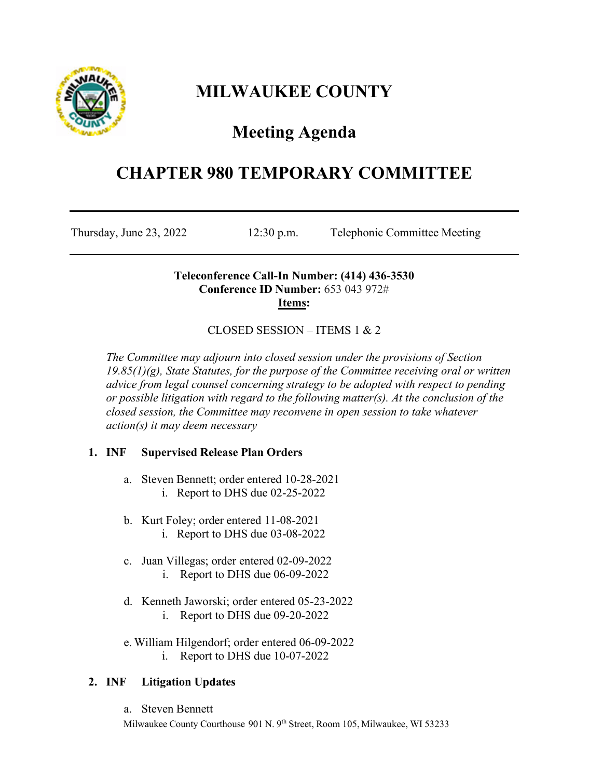

# **MILWAUKEE COUNTY**

# **Meeting Agenda**

## **CHAPTER 980 TEMPORARY COMMITTEE**

Thursday, June 23, 2022 12:30 p.m. Telephonic Committee Meeting

### **Teleconference Call-In Number: (414) 436-3530 Conference ID Number:** 653 043 972# **Items:**

## CLOSED SESSION – ITEMS 1 & 2

*The Committee may adjourn into closed session under the provisions of Section 19.85(1)(g), State Statutes, for the purpose of the Committee receiving oral or written advice from legal counsel concerning strategy to be adopted with respect to pending or possible litigation with regard to the following matter(s). At the conclusion of the closed session, the Committee may reconvene in open session to take whatever action(s) it may deem necessary*

## **1. INF Supervised Release Plan Orders**

- a. Steven Bennett; order entered 10-28-2021 i. Report to DHS due 02-25-2022
- b. Kurt Foley; order entered 11-08-2021 i. Report to DHS due 03-08-2022
- c. Juan Villegas; order entered 02-09-2022 i. Report to DHS due 06-09-2022
- d. Kenneth Jaworski; order entered 05-23-2022 i. Report to DHS due 09-20-2022
- e. William Hilgendorf; order entered 06-09-2022 i. Report to DHS due 10-07-2022

## **2. INF Litigation Updates**

a. Steven Bennett

Milwaukee County Courthouse 901 N. 9<sup>th</sup> Street, Room 105, Milwaukee, WI 53233